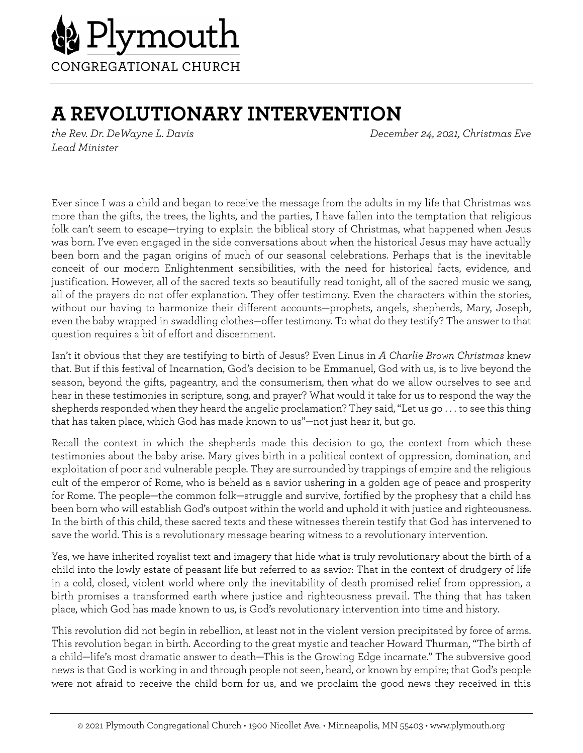

## **A REVOLUTIONARY INTERVENTION**

*Lead Minister*

*the Rev. Dr. DeWayne L. Davis December 24, 2021, Christmas Eve*

Ever since I was a child and began to receive the message from the adults in my life that Christmas was more than the gifts, the trees, the lights, and the parties, I have fallen into the temptation that religious folk can't seem to escape—trying to explain the biblical story of Christmas, what happened when Jesus was born. I've even engaged in the side conversations about when the historical Jesus may have actually been born and the pagan origins of much of our seasonal celebrations. Perhaps that is the inevitable conceit of our modern Enlightenment sensibilities, with the need for historical facts, evidence, and justification. However, all of the sacred texts so beautifully read tonight, all of the sacred music we sang, all of the prayers do not offer explanation. They offer testimony. Even the characters within the stories, without our having to harmonize their different accounts—prophets, angels, shepherds, Mary, Joseph, even the baby wrapped in swaddling clothes—offer testimony. To what do they testify? The answer to that question requires a bit of effort and discernment.

Isn't it obvious that they are testifying to birth of Jesus? Even Linus in *A Charlie Brown Christmas* knew that. But if this festival of Incarnation, God's decision to be Emmanuel, God with us, is to live beyond the season, beyond the gifts, pageantry, and the consumerism, then what do we allow ourselves to see and hear in these testimonies in scripture, song, and prayer? What would it take for us to respond the way the shepherds responded when they heard the angelic proclamation? They said, "Let us go . . . to see this thing that has taken place, which God has made known to us"—not just hear it, but go.

Recall the context in which the shepherds made this decision to go, the context from which these testimonies about the baby arise. Mary gives birth in a political context of oppression, domination, and exploitation of poor and vulnerable people. They are surrounded by trappings of empire and the religious cult of the emperor of Rome, who is beheld as a savior ushering in a golden age of peace and prosperity for Rome. The people—the common folk—struggle and survive, fortified by the prophesy that a child has been born who will establish God's outpost within the world and uphold it with justice and righteousness. In the birth of this child, these sacred texts and these witnesses therein testify that God has intervened to save the world. This is a revolutionary message bearing witness to a revolutionary intervention.

Yes, we have inherited royalist text and imagery that hide what is truly revolutionary about the birth of a child into the lowly estate of peasant life but referred to as savior: That in the context of drudgery of life in a cold, closed, violent world where only the inevitability of death promised relief from oppression, a birth promises a transformed earth where justice and righteousness prevail. The thing that has taken place, which God has made known to us, is God's revolutionary intervention into time and history.

This revolution did not begin in rebellion, at least not in the violent version precipitated by force of arms. This revolution began in birth. According to the great mystic and teacher Howard Thurman, "The birth of a child—life's most dramatic answer to death—This is the Growing Edge incarnate." The subversive good news is that God is working in and through people not seen, heard, or known by empire; that God's people were not afraid to receive the child born for us, and we proclaim the good news they received in this